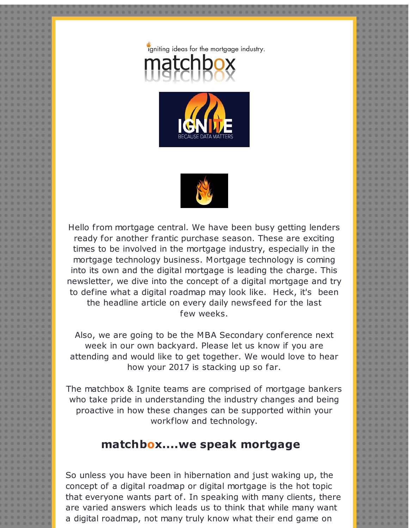





Hello from mortgage central. We have been busy getting lenders ready for another frantic purchase season. These are exciting times to be involved in the mortgage industry, especially in the mortgage technology business. Mortgage technology is coming into its own and the digital mortgage is leading the charge. This newsletter, we dive into the concept of a digital mortgage and try to define what a digital roadmap may look like. Heck, it's been the headline article on every daily newsfeed for the last few weeks.

Also, we are going to be the MBA Secondary conference next week in our own backyard. Please let us know if you are attending and would like to get together. We would love to hear how your 2017 is stacking up so far.

The matchbox & Ignite teams are comprised of mortgage bankers who take pride in understanding the industry changes and being proactive in how these changes can be supported within your workflow and technology.

## **matchbox....we speak mortgage**

So unless you have been in hibernation and just waking up, the concept of a digital roadmap or digital mortgage is the hot topic that everyone wants part of. In speaking with many clients, there are varied answers which leads us to think that while many want a digital roadmap, not many truly know what their end game on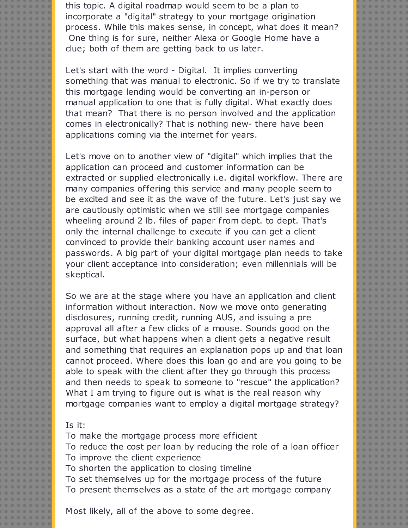this topic. A digital roadmap would seem to be a plan to incorporate a "digital" strategy to your mortgage origination process. While this makes sense, in concept, what does it mean? One thing is for sure, neither Alexa or Google Home have a clue; both of them are getting back to us later.

Let's start with the word - Digital. It implies converting something that was manual to electronic. So if we try to translate this mortgage lending would be converting an in-person or manual application to one that is fully digital. What exactly does that mean? That there is no person involved and the application comes in electronically? That is nothing new- there have been applications coming via the internet for years.

Let's move on to another view of "digital" which implies that the application can proceed and customer information can be extracted or supplied electronically i.e. digital workflow. There are many companies offering this service and many people seem to be excited and see it as the wave of the future. Let's just say we are cautiously optimistic when we still see mortgage companies wheeling around 2 lb. files of paper from dept. to dept. That's only the internal challenge to execute if you can get a client convinced to provide their banking account user names and passwords. A big part of your digital mortgage plan needs to take your client acceptance into consideration; even millennials will be skeptical.

So we are at the stage where you have an application and client information without interaction. Now we move onto generating disclosures, running credit, running AUS, and issuing a pre approval all after a few clicks of a mouse. Sounds good on the surface, but what happens when a client gets a negative result and something that requires an explanation pops up and that loan cannot proceed. Where does this loan go and are you going to be able to speak with the client after they go through this process and then needs to speak to someone to "rescue" the application? What I am trying to figure out is what is the real reason why mortgage companies want to employ a digital mortgage strategy?

## Is it:

To make the mortgage process more efficient To reduce the cost per loan by reducing the role of a loan officer To improve the client experience To shorten the application to closing timeline To set themselves up for the mortgage process of the future To present themselves as a state of the art mortgage company

Most likely, all of the above to some degree.